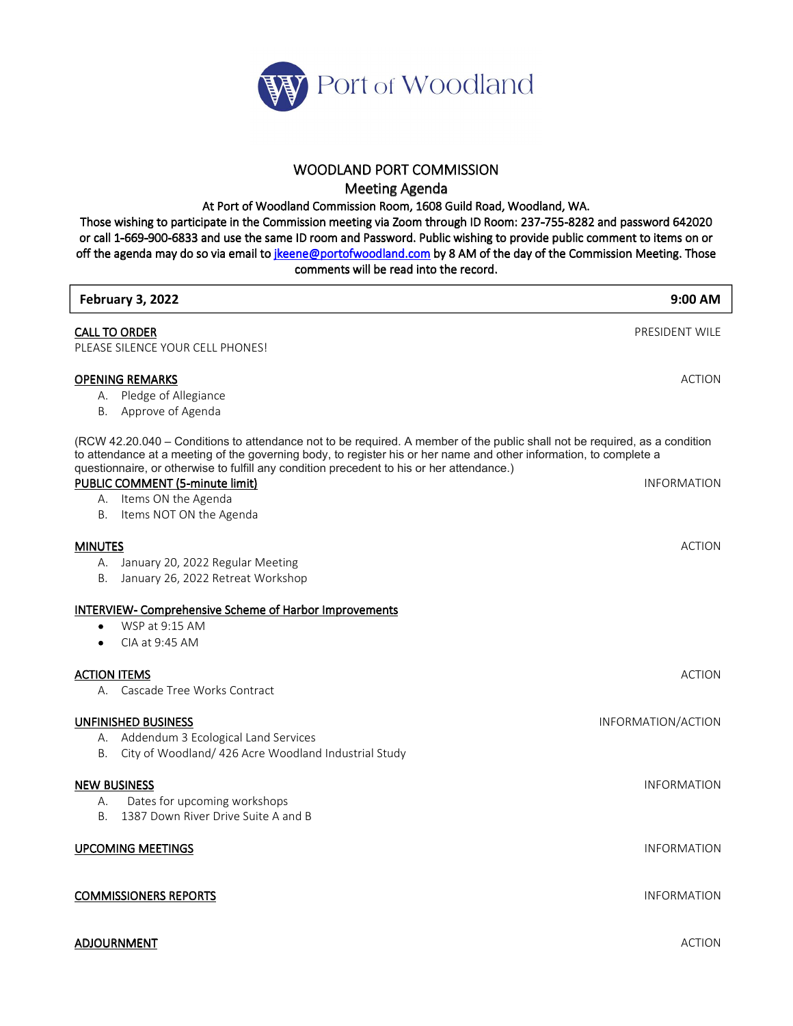

## WOODLAND PORT COMMISSION

| Port of Woodland                                                                                                                                                                                                                                                                                                                                                                                                                                                                                                                                      |                    |
|-------------------------------------------------------------------------------------------------------------------------------------------------------------------------------------------------------------------------------------------------------------------------------------------------------------------------------------------------------------------------------------------------------------------------------------------------------------------------------------------------------------------------------------------------------|--------------------|
|                                                                                                                                                                                                                                                                                                                                                                                                                                                                                                                                                       |                    |
| <b>WOODLAND PORT COMMISSION</b><br><b>Meeting Agenda</b><br>At Port of Woodland Commission Room, 1608 Guild Road, Woodland, WA.<br>Those wishing to participate in the Commission meeting via Zoom through ID Room: 237-755-8282 and password 642020<br>or call 1-669-900-6833 and use the same ID room and Password. Public wishing to provide public comment to items on or<br>off the agenda may do so via email to <i>jkeene@portofwoodland.com</i> by 8 AM of the day of the Commission Meeting. Those<br>comments will be read into the record. |                    |
| February 3, 2022                                                                                                                                                                                                                                                                                                                                                                                                                                                                                                                                      | 9:00 AM            |
| <b>CALL TO ORDER</b><br>PLEASE SILENCE YOUR CELL PHONES!                                                                                                                                                                                                                                                                                                                                                                                                                                                                                              | PRESIDENT WILE     |
| <b>OPENING REMARKS</b><br>Pledge of Allegiance<br>А.<br>Approve of Agenda<br>В.                                                                                                                                                                                                                                                                                                                                                                                                                                                                       | <b>ACTION</b>      |
| (RCW 42.20.040 – Conditions to attendance not to be required. A member of the public shall not be required, as a condition<br>to attendance at a meeting of the governing body, to register his or her name and other information, to complete a<br>questionnaire, or otherwise to fulfill any condition precedent to his or her attendance.)                                                                                                                                                                                                         |                    |
| PUBLIC COMMENT (5-minute limit)<br>A. Items ON the Agenda<br>Items NOT ON the Agenda<br>Β.                                                                                                                                                                                                                                                                                                                                                                                                                                                            | <b>INFORMATION</b> |
| <b>MINUTES</b><br>A. January 20, 2022 Regular Meeting<br>B. January 26, 2022 Retreat Workshop                                                                                                                                                                                                                                                                                                                                                                                                                                                         | <b>ACTION</b>      |
| <b>INTERVIEW- Comprehensive Scheme of Harbor Improvements</b><br>WSP at 9:15 AM<br>CIA at 9:45 AM                                                                                                                                                                                                                                                                                                                                                                                                                                                     |                    |
| <b>ACTION ITEMS</b><br>A. Cascade Tree Works Contract                                                                                                                                                                                                                                                                                                                                                                                                                                                                                                 | <b>ACTION</b>      |
| <b>UNFINISHED BUSINESS</b><br>A. Addendum 3 Ecological Land Services<br>B. City of Woodland/ 426 Acre Woodland Industrial Study                                                                                                                                                                                                                                                                                                                                                                                                                       | INFORMATION/ACTION |
| <b>NEW BUSINESS</b><br>Dates for upcoming workshops<br>А.<br>1387 Down River Drive Suite A and B<br>В.                                                                                                                                                                                                                                                                                                                                                                                                                                                | <b>INFORMATION</b> |
| <b>UPCOMING MEETINGS</b>                                                                                                                                                                                                                                                                                                                                                                                                                                                                                                                              | <b>INFORMATION</b> |
| <b>COMMISSIONERS REPORTS</b>                                                                                                                                                                                                                                                                                                                                                                                                                                                                                                                          | <b>INFORMATION</b> |
| <b>ADJOURNMENT</b>                                                                                                                                                                                                                                                                                                                                                                                                                                                                                                                                    | <b>ACTION</b>      |